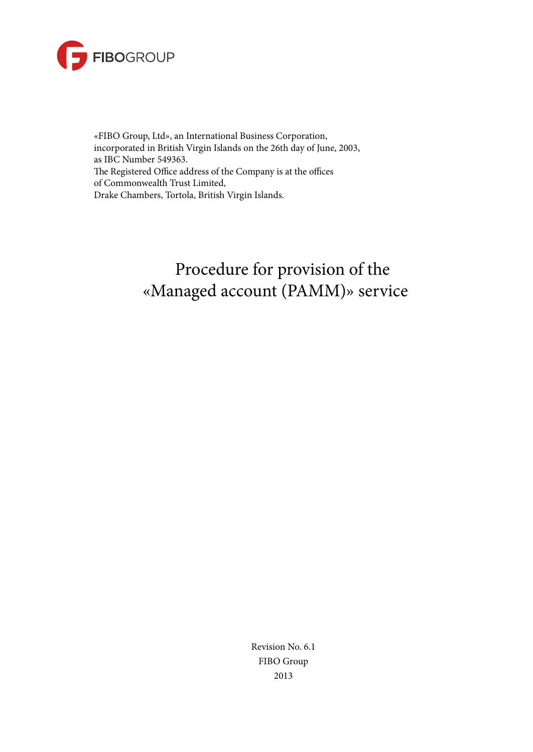

«FIBO Group, Ltd», an International Business Corporation, incorporated in British Virgin Islands on the 26th day of June, 2003, as IBC Number 549363. The Registered Office address of the Company is at the offices of Commonwealth Trust Limited, Drake Chambers, Tortola, British Virgin Islands.

# Procedure for provision of the «Managed account (PAMM)» service

Revision No. 6.1 FIBO Group 2013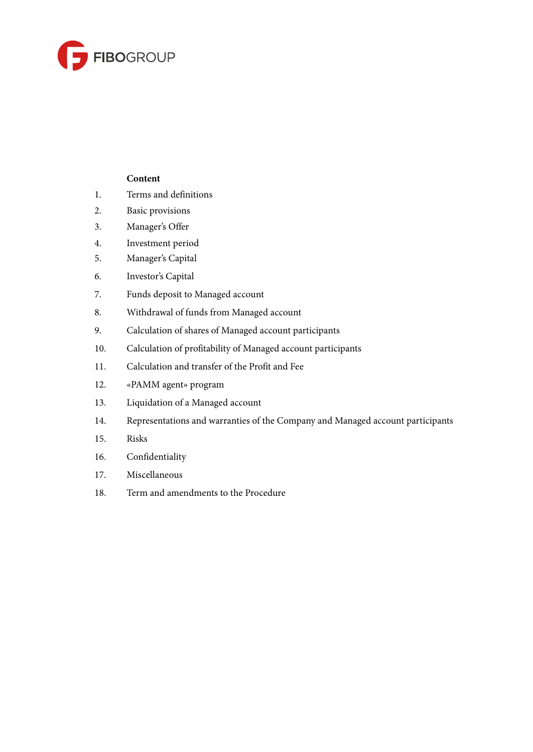

# **Content**

- 1. Terms and definitions
- 2. Basic provisions
- 3. Manager's Offer
- 4. Investment period
- 5. Manager's Capital
- 6. Investor's Capital
- 7. Funds deposit to Managed account
- 8. Withdrawal of funds from Managed account
- 9. Calculation of shares of Managed account participants
- 10. Calculation of profitability of Managed account participants
- 11. Calculation and transfer of the Profit and Fee
- 12. «PAMM agent» program
- 13. Liquidation of a Managed account
- 14. Representations and warranties of the Company and Managed account participants
- 15. Risks
- 16. Confidentiality
- 17. Miscellaneous
- 18. Term and amendments to the Procedure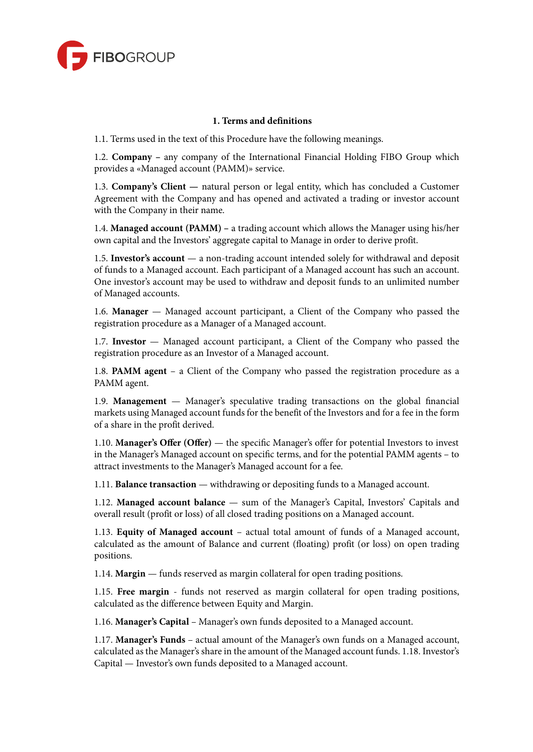

## **1. Terms and definitions**

1.1. Terms used in the text of this Procedure have the following meanings.

1.2. **Company –** any company of the International Financial Holding FIBO Group which provides a «Managed account (PAMM)» service.

1.3. **Company's Client —** natural person or legal entity, which has concluded a Customer Agreement with the Company and has opened and activated a trading or investor account with the Company in their name.

1.4. **Managed account (PAMM) –** a trading account which allows the Manager using his/her own capital and the Investors' aggregate capital to Manage in order to derive profit.

1.5. **Investor's account** — a non-trading account intended solely for withdrawal and deposit of funds to a Managed account. Each participant of a Managed account has such an account. One investor's account may be used to withdraw and deposit funds to an unlimited number of Managed accounts.

1.6. **Manager** — Managed account participant, a Client of the Company who passed the registration procedure as a Manager of a Managed account.

1.7. **Investor** — Managed account participant, a Client of the Company who passed the registration procedure as an Investor of a Managed account.

1.8. **PAMM agent** – a Client of the Company who passed the registration procedure as a PAMM agent.

1.9. **Management** — Manager's speculative trading transactions on the global financial markets using Managed account funds for the benefit of the Investors and for a fee in the form of a share in the profit derived.

1.10. **Manager's Offer (Offer)** — the specific Manager's offer for potential Investors to invest in the Manager's Managed account on specific terms, and for the potential PAMM agents – to attract investments to the Manager's Managed account for a fee.

1.11. **Balance transaction** — withdrawing or depositing funds to a Managed account.

1.12. **Managed account balance** — sum of the Manager's Capital, Investors' Capitals and overall result (profit or loss) of all closed trading positions on a Managed account.

1.13. **Equity of Managed account** – actual total amount of funds of a Managed account, calculated as the amount of Balance and current (floating) profit (or loss) on open trading positions.

1.14. **Margin** — funds reserved as margin collateral for open trading positions.

1.15. **Free margin** - funds not reserved as margin collateral for open trading positions, calculated as the difference between Equity and Margin.

1.16. **Manager's Capital** – Manager's own funds deposited to a Managed account.

1.17. **Manager's Funds** – actual amount of the Manager's own funds on a Managed account, calculated as the Manager's share in the amount of the Managed account funds. 1.18. Investor's Capital — Investor's own funds deposited to a Managed account.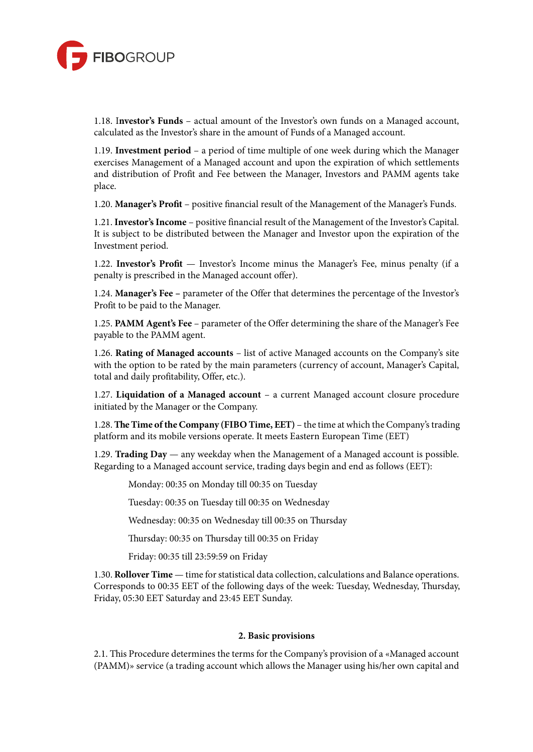

1.18. I**nvestor's Funds** – actual amount of the Investor's own funds on a Managed account, calculated as the Investor's share in the amount of Funds of a Managed account.

1.19. **Investment period** – a period of time multiple of one week during which the Manager exercises Management of a Managed account and upon the expiration of which settlements and distribution of Profit and Fee between the Manager, Investors and PAMM agents take place.

1.20. **Manager's Profit** – positive financial result of the Management of the Manager's Funds.

1.21. **Investor'sIncome** – positive financial result of the Management of the Investor's Capital. It is subject to be distributed between the Manager and Investor upon the expiration of the Investment period.

1.22. **Investor's Profit** — Investor's Income minus the Manager's Fee, minus penalty (if a penalty is prescribed in the Managed account offer).

1.24. **Manager's Fee –** parameter of the Offer that determines the percentage of the Investor's Profit to be paid to the Manager.

1.25. **PAMM Agent's Fee** – parameter of the Offer determining the share of the Manager's Fee payable to the PAMM agent.

1.26. **Rating of Managed accounts** – list of active Managed accounts on the Company's site with the option to be rated by the main parameters (currency of account, Manager's Capital, total and daily profitability, Offer, etc.).

1.27. **Liquidation of a Managed account** – a current Managed account closure procedure initiated by the Manager or the Company.

1.28. **The Time oftheCompany (FIBO Time, EET)** – the time at which the Company'strading platform and its mobile versions operate. It meets Eastern European Time (EET)

1.29. **Trading Day** — any weekday when the Management of a Managed account is possible. Regarding to a Managed account service, trading days begin and end as follows (EET):

Monday: 00:35 on Monday till 00:35 on Tuesday

Tuesday: 00:35 on Tuesday till 00:35 on Wednesday

Wednesday: 00:35 on Wednesday till 00:35 on Thursday

Thursday: 00:35 on Thursday till 00:35 on Friday

Friday: 00:35 till 23:59:59 on Friday

1.30. **Rollover Time** — time forstatistical data collection, calculations and Balance operations. Corresponds to 00:35 EET of the following days of the week: Tuesday, Wednesday, Thursday, Friday, 05:30 EET Saturday and 23:45 EET Sunday.

#### **2. Basic provisions**

2.1. This Procedure determines the terms for the Company's provision of a «Managed account (PAMM)» service (a trading account which allows the Manager using his/her own capital and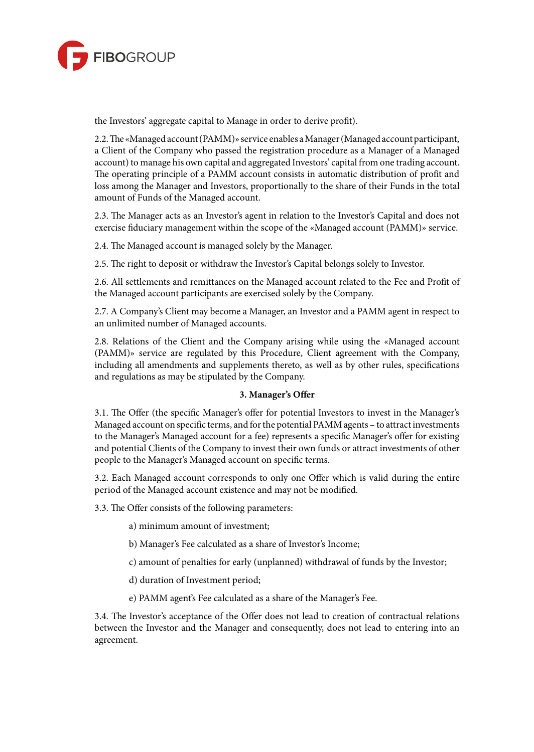

the Investors' aggregate capital to Manage in order to derive profit).

2.2. The «Managed account (PAMM)» service enables a Manager (Managed account participant, a Client of the Company who passed the registration procedure as a Manager of a Managed account) to manage his own capital and aggregated Investors' capital from one trading account. The operating principle of a PAMM account consists in automatic distribution of profit and loss among the Manager and Investors, proportionally to the share of their Funds in the total amount of Funds of the Managed account.

2.3. The Manager acts as an Investor's agent in relation to the Investor's Capital and does not exercise fiduciary management within the scope of the «Managed account (PAMM)» service.

2.4. The Managed account is managed solely by the Manager.

2.5. The right to deposit or withdraw the Investor's Capital belongs solely to Investor.

2.6. All settlements and remittances on the Managed account related to the Fee and Profit of the Managed account participants are exercised solely by the Company.

2.7. A Company's Client may become a Manager, an Investor and a PAMM agent in respect to an unlimited number of Managed accounts.

2.8. Relations of the Client and the Company arising while using the «Managed account (PAMM)» service are regulated by this Procedure, Client agreement with the Company, including all amendments and supplements thereto, as well as by other rules, specifications and regulations as may be stipulated by the Company.

#### **3. Manager's Offer**

3.1. The Offer (the specific Manager's offer for potential Investors to invest in the Manager's Managed account on specific terms, and for the potential PAMM agents – to attract investments to the Manager's Managed account for a fee) represents a specific Manager's offer for existing and potential Clients of the Company to invest their own funds or attract investments of other people to the Manager's Managed account on specific terms.

3.2. Each Managed account corresponds to only one Offer which is valid during the entire period of the Managed account existence and may not be modified.

3.3. The Offer consists of the following parameters:

a) minimum amount of investment;

b) Manager's Fee calculated as a share of Investor's Income;

c) amount of penalties for early (unplanned) withdrawal of funds by the Investor;

d) duration of Investment period;

e) PAMM agent's Fee calculated as a share of the Manager's Fee.

3.4. The Investor's acceptance of the Offer does not lead to creation of contractual relations between the Investor and the Manager and consequently, does not lead to entering into an agreement.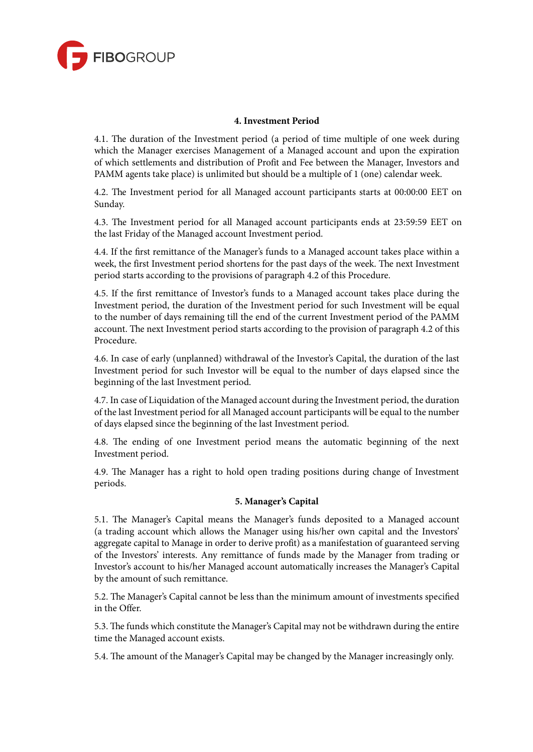

# **4. Investment Period**

4.1. The duration of the Investment period (a period of time multiple of one week during which the Manager exercises Management of a Managed account and upon the expiration of which settlements and distribution of Profit and Fee between the Manager, Investors and PAMM agents take place) is unlimited but should be a multiple of 1 (one) calendar week.

4.2. The Investment period for all Managed account participants starts at 00:00:00 EET on Sunday.

4.3. The Investment period for all Managed account participants ends at 23:59:59 EET on the last Friday of the Managed account Investment period.

4.4. If the first remittance of the Manager's funds to a Managed account takes place within a week, the first Investment period shortens for the past days of the week. The next Investment period starts according to the provisions of paragraph 4.2 of this Procedure.

4.5. If the first remittance of Investor's funds to a Managed account takes place during the Investment period, the duration of the Investment period for such Investment will be equal to the number of days remaining till the end of the current Investment period of the PAMM account. The next Investment period starts according to the provision of paragraph 4.2 of this Procedure.

4.6. In case of early (unplanned) withdrawal of the Investor's Capital, the duration of the last Investment period for such Investor will be equal to the number of days elapsed since the beginning of the last Investment period.

4.7. In case of Liquidation of the Managed account during the Investment period, the duration of the last Investment period for all Managed account participants will be equal to the number of days elapsed since the beginning of the last Investment period.

4.8. The ending of one Investment period means the automatic beginning of the next Investment period.

4.9. The Manager has a right to hold open trading positions during change of Investment periods.

#### **5. Manager's Capital**

5.1. The Manager's Capital means the Manager's funds deposited to a Managed account (a trading account which allows the Manager using his/her own capital and the Investors' aggregate capital to Manage in order to derive profit) as a manifestation of guaranteed serving of the Investors' interests. Any remittance of funds made by the Manager from trading or Investor's account to his/her Managed account automatically increases the Manager's Capital by the amount of such remittance.

5.2. The Manager's Capital cannot be less than the minimum amount of investments specified in the Offer.

5.3. The funds which constitute the Manager's Capital may not be withdrawn during the entire time the Managed account exists.

5.4. The amount of the Manager's Capital may be changed by the Manager increasingly only.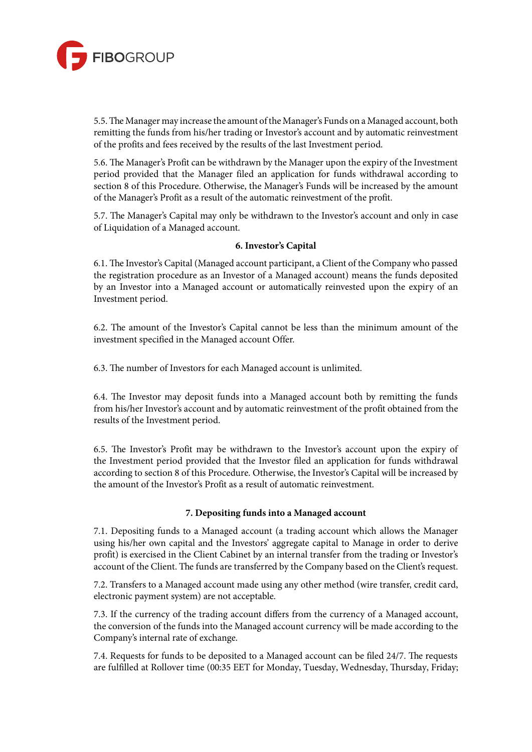

5.5. The Manager may increase the amount of the Manager's Funds on a Managed account, both remitting the funds from his/her trading or Investor's account and by automatic reinvestment of the profits and fees received by the results of the last Investment period.

5.6. The Manager's Profit can be withdrawn by the Manager upon the expiry of the Investment period provided that the Manager filed an application for funds withdrawal according to section 8 of this Procedure. Otherwise, the Manager's Funds will be increased by the amount of the Manager's Profit as a result of the automatic reinvestment of the profit.

5.7. The Manager's Capital may only be withdrawn to the Investor's account and only in case of Liquidation of a Managed account.

## **6. Investor's Capital**

6.1. The Investor's Capital (Managed account participant, a Client of the Company who passed the registration procedure as an Investor of a Managed account) means the funds deposited by an Investor into a Managed account or automatically reinvested upon the expiry of an Investment period.

6.2. The amount of the Investor's Capital cannot be less than the minimum amount of the investment specified in the Managed account Offer.

6.3. The number of Investors for each Managed account is unlimited.

6.4. The Investor may deposit funds into a Managed account both by remitting the funds from his/her Investor's account and by automatic reinvestment of the profit obtained from the results of the Investment period.

6.5. The Investor's Profit may be withdrawn to the Investor's account upon the expiry of the Investment period provided that the Investor filed an application for funds withdrawal according to section 8 of this Procedure. Otherwise, the Investor's Capital will be increased by the amount of the Investor's Profit as a result of automatic reinvestment.

## **7. Depositing funds into a Managed account**

7.1. Depositing funds to a Managed account (a trading account which allows the Manager using his/her own capital and the Investors' aggregate capital to Manage in order to derive profit) is exercised in the Client Cabinet by an internal transfer from the trading or Investor's account of the Client. The funds are transferred by the Company based on the Client's request.

7.2. Transfers to a Managed account made using any other method (wire transfer, credit card, electronic payment system) are not acceptable.

7.3. If the currency of the trading account differs from the currency of a Managed account, the conversion of the funds into the Managed account currency will be made according to the Company's internal rate of exchange.

7.4. Requests for funds to be deposited to a Managed account can be filed 24/7. The requests are fulfilled at Rollover time (00:35 EET for Monday, Tuesday, Wednesday, Thursday, Friday;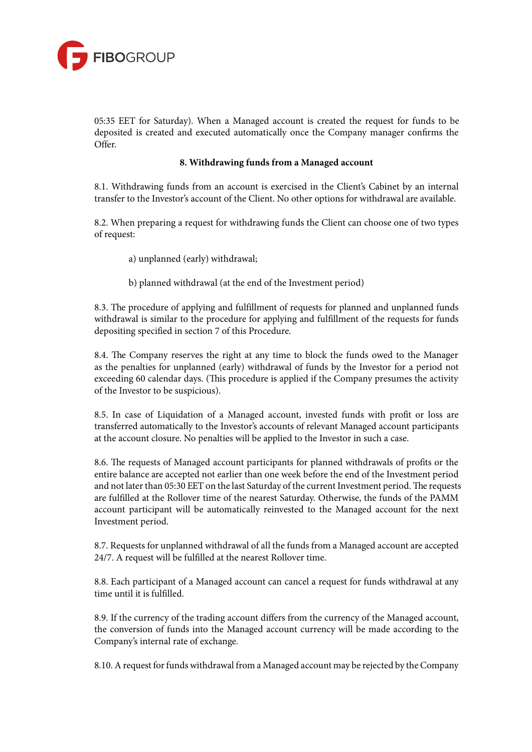

05:35 EET for Saturday). When a Managed account is created the request for funds to be deposited is created and executed automatically once the Company manager confirms the Offer.

## **8. Withdrawing funds from a Managed account**

8.1. Withdrawing funds from an account is exercised in the Client's Cabinet by an internal transfer to the Investor's account of the Client. No other options for withdrawal are available.

8.2. When preparing a request for withdrawing funds the Client can choose one of two types of request:

a) unplanned (early) withdrawal;

b) planned withdrawal (at the end of the Investment period)

8.3. The procedure of applying and fulfillment of requests for planned and unplanned funds withdrawal is similar to the procedure for applying and fulfillment of the requests for funds depositing specified in section 7 of this Procedure.

8.4. The Company reserves the right at any time to block the funds owed to the Manager as the penalties for unplanned (early) withdrawal of funds by the Investor for a period not exceeding 60 calendar days. (This procedure is applied if the Company presumes the activity of the Investor to be suspicious).

8.5. In case of Liquidation of a Managed account, invested funds with profit or loss are transferred automatically to the Investor's accounts of relevant Managed account participants at the account closure. No penalties will be applied to the Investor in such a case.

8.6. The requests of Managed account participants for planned withdrawals of profits or the entire balance are accepted not earlier than one week before the end of the Investment period and not later than 05:30 EET on the last Saturday of the current Investment period. The requests are fulfilled at the Rollover time of the nearest Saturday. Otherwise, the funds of the PAMM account participant will be automatically reinvested to the Managed account for the next Investment period.

8.7. Requests for unplanned withdrawal of all the funds from a Managed account are accepted 24/7. A request will be fulfilled at the nearest Rollover time.

8.8. Each participant of a Managed account can cancel a request for funds withdrawal at any time until it is fulfilled.

8.9. If the currency of the trading account differs from the currency of the Managed account, the conversion of funds into the Managed account currency will be made according to the Company's internal rate of exchange.

8.10. A request for funds withdrawal from a Managed account may be rejected by the Company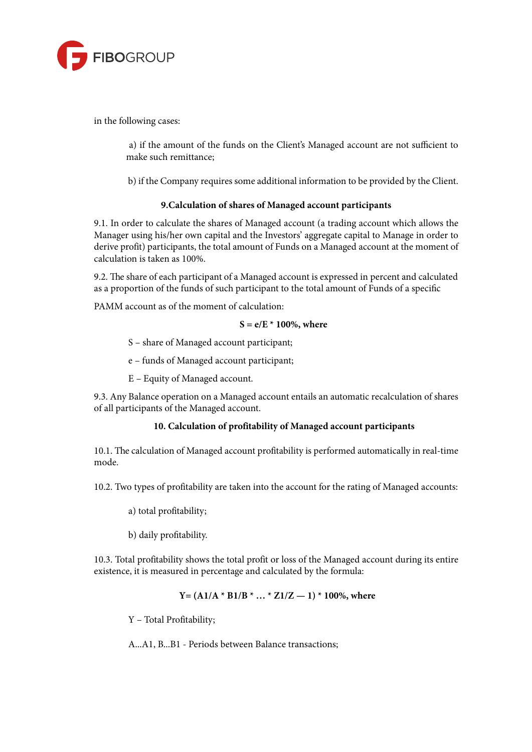

in the following cases:

a) if the amount of the funds on the Client's Managed account are not sufficient to make such remittance;

b) if the Company requires some additional information to be provided by the Client.

# **9.Calculation of shares of Managed account participants**

9.1. In order to calculate the shares of Managed account (a trading account which allows the Manager using his/her own capital and the Investors' aggregate capital to Manage in order to derive profit) participants, the total amount of Funds on a Managed account at the moment of calculation is taken as 100%.

9.2. The share of each participant of a Managed account is expressed in percent and calculated as a proportion of the funds of such participant to the total amount of Funds of a specific

PAMM account as of the moment of calculation:

# **S = e/E \* 100%, where**

S – share of Managed account participant;

e – funds of Managed account participant;

E – Equity of Managed account.

9.3. Any Balance operation on a Managed account entails an automatic recalculation of shares of all participants of the Managed account.

# **10. Calculation of profitability of Managed account participants**

10.1. The calculation of Managed account profitability is performed automatically in real-time mode.

10.2. Two types of profitability are taken into the account for the rating of Managed accounts:

a) total profitability;

b) daily profitability.

10.3. Total profitability shows the total profit or loss of the Managed account during its entire existence, it is measured in percentage and calculated by the formula:

**Y= (А1/А \* В1/В \* … \* Z1/Z — 1) \* 100%, where**

Y – Total Profitability;

A...A1, B...B1 - Periods between Balance transactions;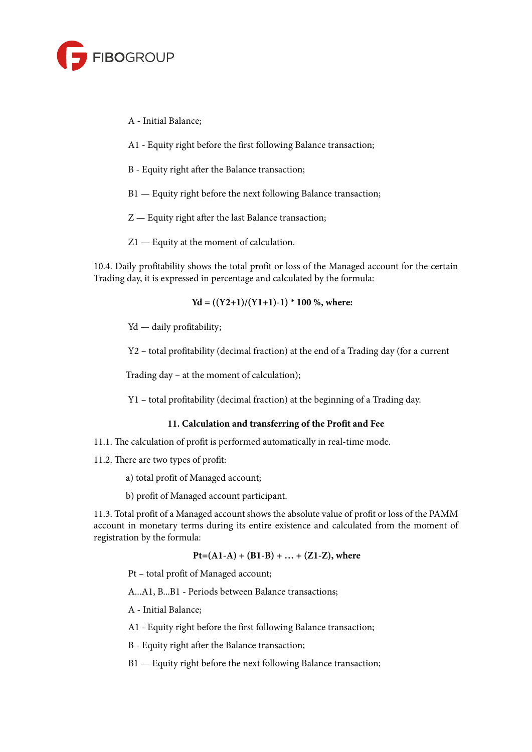

- А Initial Balance;
- А1 Equity right before the first following Balance transaction;
- B Equity right after the Balance transaction;
- B1 Equity right before the next following Balance transaction;
- Z Equity right after the last Balance transaction;
- Z1 Equity at the moment of calculation.

10.4. Daily profitability shows the total profit or loss of the Managed account for the certain Trading day, it is expressed in percentage and calculated by the formula:

$$
Yd = ((Y2+1)/(Y1+1)-1) * 100 %
$$
, where:

Yd — daily profitability;

Y2 – total profitability (decimal fraction) at the end of a Trading day (for a current

Trading day – at the moment of calculation);

Y1 – total profitability (decimal fraction) at the beginning of a Trading day.

## **11. Calculation and transferring of the Profit and Fee**

- 11.1. The calculation of profit is performed automatically in real-time mode.
- 11.2. There are two types of profit:
	- a) total profit of Managed account;
	- b) profit of Managed account participant.

11.3. Total profit of a Managed account shows the absolute value of profit or loss of the PAMM account in monetary terms during its entire existence and calculated from the moment of registration by the formula:

# **Pt=(А1-А) + (В1-В) + … + (Z1-Z), where**

Pt – total profit of Managed account;

А...А1, B...B1 - Periods between Balance transactions;

- А Initial Balance;
- А1 Equity right before the first following Balance transaction;
- B Equity right after the Balance transaction;
- B1 Equity right before the next following Balance transaction;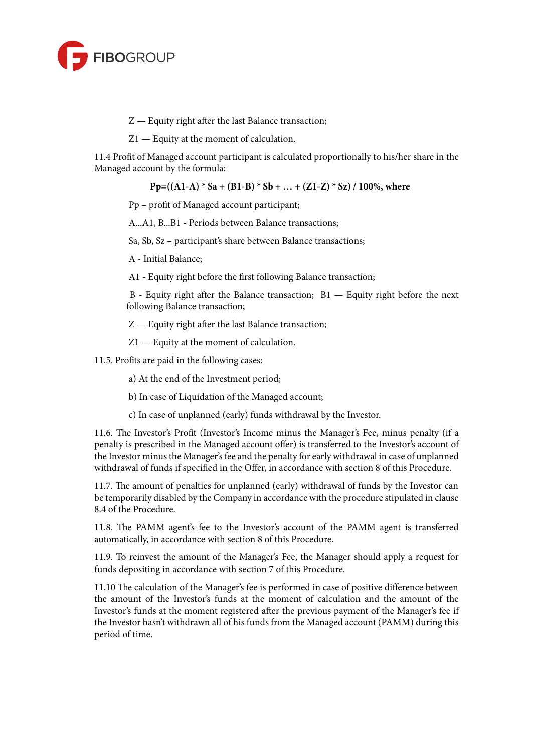

- Z Equity right after the last Balance transaction;
- Z1 Equity at the moment of calculation.

11.4 Profit of Managed account participant is calculated proportionally to his/her share in the Managed account by the formula:

**Pp=((А1-А) \* Sa + (В1-В) \* Sb + … + (Z1-Z) \* Sz) / 100%, where**

Pp – profit of Managed account participant;

A...A1, B...B1 - Periods between Balance transactions;

Sa, Sb, Sz – participant's share between Balance transactions;

А - Initial Balance;

А1 - Equity right before the first following Balance transaction;

B - Equity right after the Balance transaction; B1 — Equity right before the next following Balance transaction;

Z — Equity right after the last Balance transaction;

Z1 — Equity at the moment of calculation.

11.5. Profits are paid in the following cases:

a) At the end of the Investment period;

b) In case of Liquidation of the Managed account;

c) In case of unplanned (early) funds withdrawal by the Investor.

11.6. The Investor's Profit (Investor's Income minus the Manager's Fee, minus penalty (if a penalty is prescribed in the Managed account offer) is transferred to the Investor's account of the Investor minus the Manager's fee and the penalty for early withdrawal in case of unplanned withdrawal of funds if specified in the Offer, in accordance with section 8 of this Procedure.

11.7. The amount of penalties for unplanned (early) withdrawal of funds by the Investor can be temporarily disabled by the Company in accordance with the procedure stipulated in clause 8.4 of the Procedure.

11.8. The PAMM agent's fee to the Investor's account of the PAMM agent is transferred automatically, in accordance with section 8 of this Procedure.

11.9. To reinvest the amount of the Manager's Fee, the Manager should apply a request for funds depositing in accordance with section 7 of this Procedure.

11.10 The calculation of the Manager's fee is performed in case of positive difference between the amount of the Investor's funds at the moment of calculation and the amount of the Investor's funds at the moment registered after the previous payment of the Manager's fee if the Investor hasn't withdrawn all of his funds from the Managed account (PAMM) during this period of time.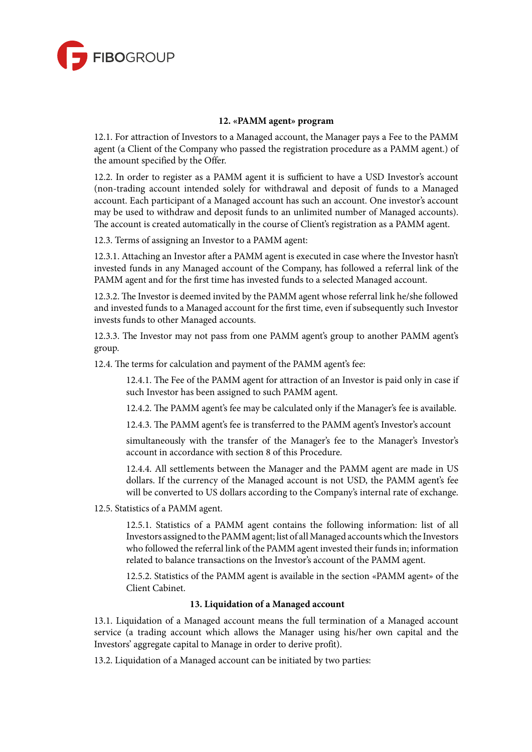

## **12. «PAMM agent» program**

12.1. For attraction of Investors to a Managed account, the Manager pays a Fee to the PAMM agent (a Client of the Company who passed the registration procedure as a PAMM agent.) of the amount specified by the Offer.

12.2. In order to register as a PAMM agent it is sufficient to have a USD Investor's account (non-trading account intended solely for withdrawal and deposit of funds to a Managed account. Each participant of a Managed account has such an account. One investor's account may be used to withdraw and deposit funds to an unlimited number of Managed accounts). The account is created automatically in the course of Client's registration as a PAMM agent.

12.3. Terms of assigning an Investor to a PAMM agent:

12.3.1. Attaching an Investor after a PAMM agent is executed in case where the Investor hasn't invested funds in any Managed account of the Company, has followed a referral link of the PAMM agent and for the first time has invested funds to a selected Managed account.

12.3.2. The Investor is deemed invited by the PAMM agent whose referral link he/she followed and invested funds to a Managed account for the first time, even if subsequently such Investor invests funds to other Managed accounts.

12.3.3. The Investor may not pass from one PAMM agent's group to another PAMM agent's group.

12.4. The terms for calculation and payment of the PAMM agent's fee:

12.4.1. The Fee of the PAMM agent for attraction of an Investor is paid only in case if such Investor has been assigned to such PAMM agent.

12.4.2. The PAMM agent's fee may be calculated only if the Manager's fee is available.

12.4.3. The PAMM agent's fee is transferred to the PAMM agent's Investor's account

simultaneously with the transfer of the Manager's fee to the Manager's Investor's account in accordance with section 8 of this Procedure.

12.4.4. All settlements between the Manager and the PAMM agent are made in US dollars. If the currency of the Managed account is not USD, the PAMM agent's fee will be converted to US dollars according to the Company's internal rate of exchange.

12.5. Statistics of a PAMM agent.

12.5.1. Statistics of a PAMM agent contains the following information: list of all Investors assigned to the PAMM agent; list of all Managed accounts which the Investors who followed the referral link of the PAMM agent invested their fundsin; information related to balance transactions on the Investor's account of the PAMM agent.

12.5.2. Statistics of the PAMM agent is available in the section «PAMM agent» of the Client Cabinet.

## **13. Liquidation of a Managed account**

13.1. Liquidation of a Managed account means the full termination of a Managed account service (a trading account which allows the Manager using his/her own capital and the Investors' aggregate capital to Manage in order to derive profit).

13.2. Liquidation of a Managed account can be initiated by two parties: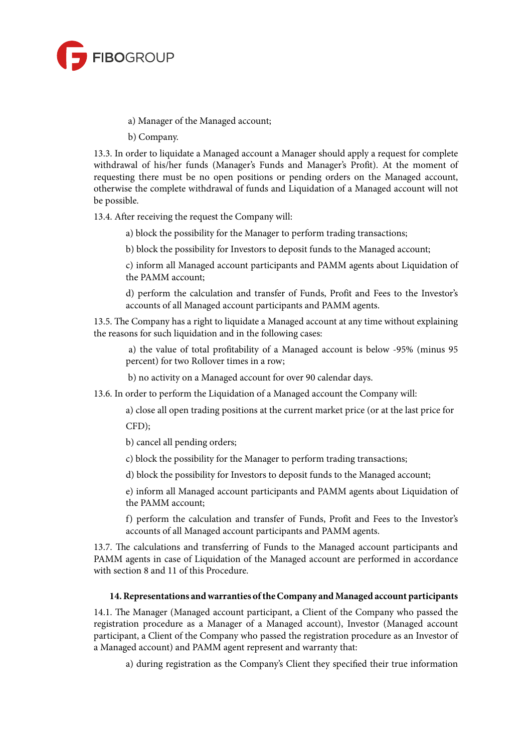

a) Manager of the Managed account;

b) Company.

13.3. In order to liquidate a Managed account a Manager should apply a request for complete withdrawal of his/her funds (Manager's Funds and Manager's Profit). At the moment of requesting there must be no open positions or pending orders on the Managed account, otherwise the complete withdrawal of funds and Liquidation of a Managed account will not be possible.

13.4. After receiving the request the Company will:

a) block the possibility for the Manager to perform trading transactions;

b) block the possibility for Investors to deposit funds to the Managed account;

c) inform all Managed account participants and PAMM agents about Liquidation of the PAMM account;

d) perform the calculation and transfer of Funds, Profit and Fees to the Investor's accounts of all Managed account participants and PAMM agents.

13.5. The Company has a right to liquidate a Managed account at any time without explaining the reasons for such liquidation and in the following cases:

a) the value of total profitability of a Managed account is below -95% (minus 95 percent) for two Rollover times in a row;

b) no activity on a Managed account for over 90 calendar days.

13.6. In order to perform the Liquidation of a Managed account the Company will:

a) close all open trading positions at the current market price (or at the last price for CFD);

b) cancel all pending orders;

c) block the possibility for the Manager to perform trading transactions;

d) block the possibility for Investors to deposit funds to the Managed account;

e) inform all Managed account participants and PAMM agents about Liquidation of the PAMM account;

f) perform the calculation and transfer of Funds, Profit and Fees to the Investor's accounts of all Managed account participants and PAMM agents.

13.7. The calculations and transferring of Funds to the Managed account participants and PAMM agents in case of Liquidation of the Managed account are performed in accordance with section 8 and 11 of this Procedure.

## **14.Representations andwarranties oftheCompany and Managed account participants**

14.1. The Manager (Managed account participant, a Client of the Company who passed the registration procedure as a Manager of a Managed account), Investor (Managed account participant, a Client of the Company who passed the registration procedure as an Investor of a Managed account) and PAMM agent represent and warranty that:

a) during registration as the Company's Client they specified their true information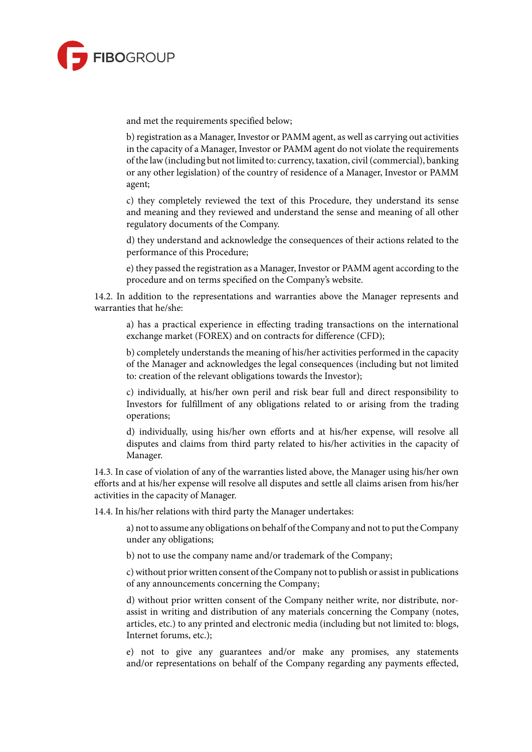

and met the requirements specified below;

b) registration as a Manager, Investor or PAMM agent, as well as carrying out activities in the capacity of a Manager, Investor or PAMM agent do not violate the requirements of the law(including but not limited to: currency, taxation, civil(commercial), banking or any other legislation) of the country of residence of a Manager, Investor or PAMM agent;

c) they completely reviewed the text of this Procedure, they understand its sense and meaning and they reviewed and understand the sense and meaning of all other regulatory documents of the Company.

d) they understand and acknowledge the consequences of their actions related to the performance of this Procedure;

e) they passed the registration as a Manager, Investor or PAMM agent according to the procedure and on terms specified on the Company's website.

14.2. In addition to the representations and warranties above the Manager represents and warranties that he/she:

a) has a practical experience in effecting trading transactions on the international exchange market (FOREX) and on contracts for difference (CFD);

b) completely understands the meaning of his/her activities performed in the capacity of the Manager and acknowledges the legal consequences (including but not limited to: creation of the relevant obligations towards the Investor);

c) individually, at his/her own peril and risk bear full and direct responsibility to Investors for fulfillment of any obligations related to or arising from the trading operations;

d) individually, using his/her own efforts and at his/her expense, will resolve all disputes and claims from third party related to his/her activities in the capacity of Manager.

14.3. In case of violation of any of the warranties listed above, the Manager using his/her own efforts and at his/her expense will resolve all disputes and settle all claims arisen from his/her activities in the capacity of Manager.

14.4. In his/her relations with third party the Manager undertakes:

a) not to assume any obligations on behalf of the Company and not to put the Company under any obligations;

b) not to use the company name and/or trademark of the Company;

c) without prior written consent of the Company not to publish or assist in publications of any announcements concerning the Company;

d) without prior written consent of the Company neither write, nor distribute, norassist in writing and distribution of any materials concerning the Company (notes, articles, etc.) to any printed and electronic media (including but not limited to: blogs, Internet forums, etc.);

e) not to give any guarantees and/or make any promises, any statements and/or representations on behalf of the Company regarding any payments effected,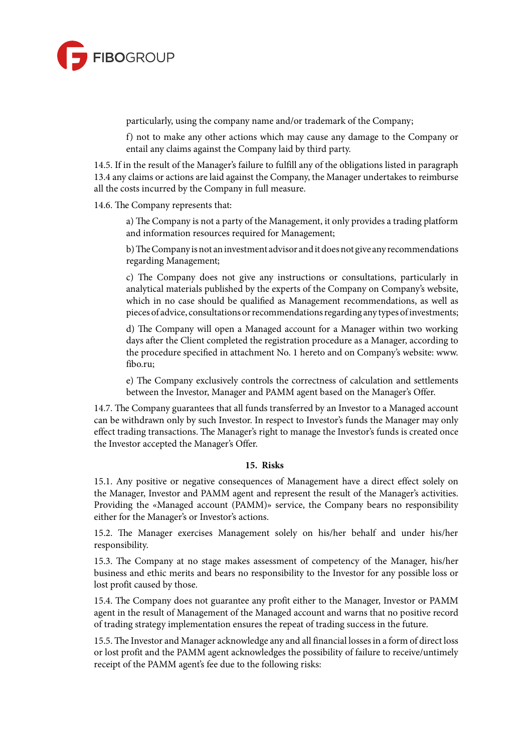

particularly, using the company name and/or trademark of the Company;

f) not to make any other actions which may cause any damage to the Company or entail any claims against the Company laid by third party.

14.5. If in the result of the Manager's failure to fulfill any of the obligations listed in paragraph 13.4 any claims or actions are laid against the Company, the Manager undertakes to reimburse all the costs incurred by the Company in full measure.

14.6. The Company represents that:

a) The Company is not a party of the Management, it only provides a trading platform and information resources required for Management;

b)TheCompany isnot aninvestment advisor anditdoesnot give any recommendations regarding Management;

c) The Company does not give any instructions or consultations, particularly in analytical materials published by the experts of the Company on Company's website, which in no case should be qualified as Management recommendations, as well as pieces of advice, consultations or recommendations regarding any types of investments;

d) The Company will open a Managed account for a Manager within two working days after the Client completed the registration procedure as a Manager, according to the procedure specified in attachment No. 1 hereto and on Company's website: www. fibo.ru;

e) The Company exclusively controls the correctness of calculation and settlements between the Investor, Manager and PAMM agent based on the Manager's Offer.

14.7. The Company guarantees that all funds transferred by an Investor to a Managed account can be withdrawn only by such Investor. In respect to Investor's funds the Manager may only effect trading transactions. The Manager's right to manage the Investor's funds is created once the Investor accepted the Manager's Offer.

#### **15. Risks**

15.1. Any positive or negative consequences of Management have a direct effect solely on the Manager, Investor and PAMM agent and represent the result of the Manager's activities. Providing the «Managed account (PAMM)» service, the Company bears no responsibility either for the Manager's or Investor's actions.

15.2. The Manager exercises Management solely on his/her behalf and under his/her responsibility.

15.3. The Company at no stage makes assessment of competency of the Manager, his/her business and ethic merits and bears no responsibility to the Investor for any possible loss or lost profit caused by those.

15.4. The Company does not guarantee any profit either to the Manager, Investor or PAMM agent in the result of Management of the Managed account and warns that no positive record of trading strategy implementation ensures the repeat of trading success in the future.

15.5. The Investor and Manager acknowledge any and all financial lossesin a form of direct loss or lost profit and the PAMM agent acknowledges the possibility of failure to receive/untimely receipt of the PAMM agent's fee due to the following risks: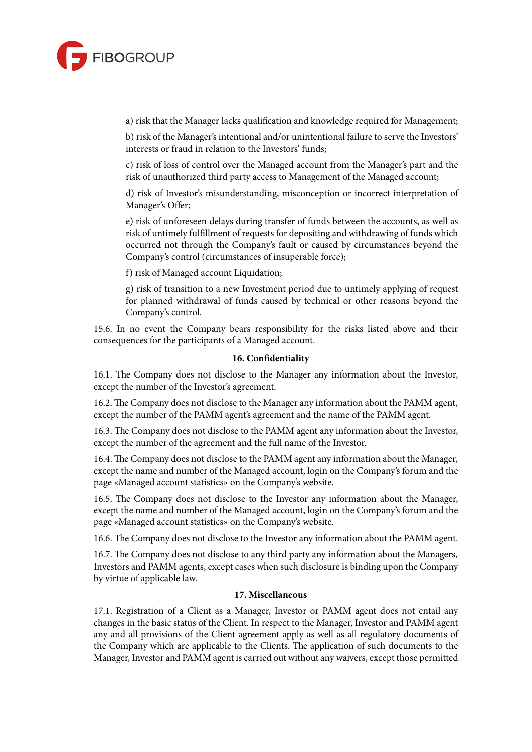

a) risk that the Manager lacks qualification and knowledge required for Management;

b) risk of the Manager's intentional and/or unintentional failure to serve the Investors' interests or fraud in relation to the Investors' funds;

c) risk of loss of control over the Managed account from the Manager's part and the risk of unauthorized third party access to Management of the Managed account;

d) risk of Investor's misunderstanding, misconception or incorrect interpretation of Manager's Offer;

e) risk of unforeseen delays during transfer of funds between the accounts, as well as risk of untimely fulfillment of requests for depositing and withdrawing of funds which occurred not through the Company's fault or caused by circumstances beyond the Company's control (circumstances of insuperable force);

f) risk of Managed account Liquidation;

g) risk of transition to a new Investment period due to untimely applying of request for planned withdrawal of funds caused by technical or other reasons beyond the Company's control.

15.6. In no event the Company bears responsibility for the risks listed above and their consequences for the participants of a Managed account.

#### **16. Confidentiality**

16.1. The Company does not disclose to the Manager any information about the Investor, except the number of the Investor's agreement.

16.2. The Company does not disclose to the Manager any information about the PAMM agent, except the number of the PAMM agent's agreement and the name of the PAMM agent.

16.3. The Company does not disclose to the PAMM agent any information about the Investor, except the number of the agreement and the full name of the Investor.

16.4. The Company does not disclose to the PAMM agent any information about the Manager, except the name and number of the Managed account, login on the Company's forum and the page «Managed account statistics» on the Company's website.

16.5. The Company does not disclose to the Investor any information about the Manager, except the name and number of the Managed account, login on the Company's forum and the page «Managed account statistics» on the Company's website.

16.6. The Company does not disclose to the Investor any information about the PAMM agent.

16.7. The Company does not disclose to any third party any information about the Managers, Investors and PAMM agents, except cases when such disclosure is binding upon the Company by virtue of applicable law.

#### **17. Miscellaneous**

17.1. Registration of a Client as a Manager, Investor or PAMM agent does not entail any changes in the basic status of the Client. In respect to the Manager, Investor and PAMM agent any and all provisions of the Client agreement apply as well as all regulatory documents of the Company which are applicable to the Clients. The application of such documents to the Manager, Investor and PAMM agent is carried out without any waivers, except those permitted